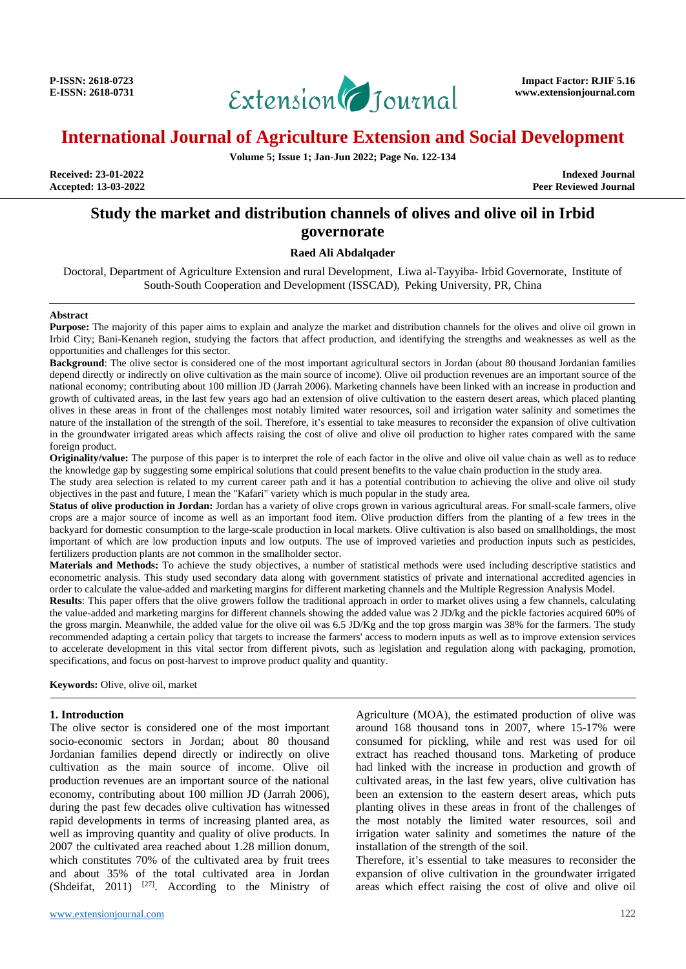

**Volume 5; Issue 1; Jan-Jun 2022; Page No. 122-134**

**Accepted: 13-03-2022** 

**Received: 23-01-2022 Indexed Journal**

# **Study the market and distribution channels of olives and olive oil in Irbid governorate**

#### **Raed Ali Abdalqader**

Doctoral, Department of Agriculture Extension and rural Development, Liwa al-Tayyiba- Irbid Governorate, Institute of South-South Cooperation and Development (ISSCAD), Peking University, PR, China

#### **Abstract**

**Purpose:** The majority of this paper aims to explain and analyze the market and distribution channels for the olives and olive oil grown in Irbid City; Bani-Kenaneh region, studying the factors that affect production, and identifying the strengths and weaknesses as well as the opportunities and challenges for this sector.

**Background**: The olive sector is considered one of the most important agricultural sectors in Jordan (about 80 thousand Jordanian families depend directly or indirectly on olive cultivation as the main source of income). Olive oil production revenues are an important source of the national economy; contributing about 100 million JD (Jarrah 2006). Marketing channels have been linked with an increase in production and growth of cultivated areas, in the last few years ago had an extension of olive cultivation to the eastern desert areas, which placed planting olives in these areas in front of the challenges most notably limited water resources, soil and irrigation water salinity and sometimes the nature of the installation of the strength of the soil. Therefore, it's essential to take measures to reconsider the expansion of olive cultivation in the groundwater irrigated areas which affects raising the cost of olive and olive oil production to higher rates compared with the same foreign product.

**Originality/value:** The purpose of this paper is to interpret the role of each factor in the olive and olive oil value chain as well as to reduce the knowledge gap by suggesting some empirical solutions that could present benefits to the value chain production in the study area.

The study area selection is related to my current career path and it has a potential contribution to achieving the olive and olive oil study objectives in the past and future, I mean the "Kafari" variety which is much popular in the study area.

**Status of olive production in Jordan:** Jordan has a variety of olive crops grown in various agricultural areas. For small-scale farmers, olive crops are a major source of income as well as an important food item. Olive production differs from the planting of a few trees in the backyard for domestic consumption to the large-scale production in local markets. Olive cultivation is also based on smallholdings, the most important of which are low production inputs and low outputs. The use of improved varieties and production inputs such as pesticides, fertilizers production plants are not common in the smallholder sector.

**Materials and Methods:** To achieve the study objectives, a number of statistical methods were used including descriptive statistics and econometric analysis. This study used secondary data along with government statistics of private and international accredited agencies in order to calculate the value-added and marketing margins for different marketing channels and the Multiple Regression Analysis Model.

**Results**: This paper offers that the olive growers follow the traditional approach in order to market olives using a few channels, calculating the value-added and marketing margins for different channels showing the added value was 2 JD/kg and the pickle factories acquired 60% of the gross margin. Meanwhile, the added value for the olive oil was 6.5 JD/Kg and the top gross margin was 38% for the farmers. The study recommended adapting a certain policy that targets to increase the farmers' access to modern inputs as well as to improve extension services to accelerate development in this vital sector from different pivots, such as legislation and regulation along with packaging, promotion, specifications, and focus on post-harvest to improve product quality and quantity.

**Keywords:** Olive, olive oil, market

### **1. Introduction**

The olive sector is considered one of the most important socio-economic sectors in Jordan; about 80 thousand Jordanian families depend directly or indirectly on olive cultivation as the main source of income. Olive oil production revenues are an important source of the national economy, contributing about 100 million JD (Jarrah 2006), during the past few decades olive cultivation has witnessed rapid developments in terms of increasing planted area, as well as improving quantity and quality of olive products. In 2007 the cultivated area reached about 1.28 million donum, which constitutes 70% of the cultivated area by fruit trees and about 35% of the total cultivated area in Jordan (Shdeifat, 2011)  $[27]$ . According to the Ministry of

Agriculture (MOA), the estimated production of olive was around 168 thousand tons in 2007, where 15-17% were consumed for pickling, while and rest was used for oil extract has reached thousand tons. Marketing of produce had linked with the increase in production and growth of cultivated areas, in the last few years, olive cultivation has been an extension to the eastern desert areas, which puts planting olives in these areas in front of the challenges of the most notably the limited water resources, soil and irrigation water salinity and sometimes the nature of the installation of the strength of the soil.

Therefore, it's essential to take measures to reconsider the expansion of olive cultivation in the groundwater irrigated areas which effect raising the cost of olive and olive oil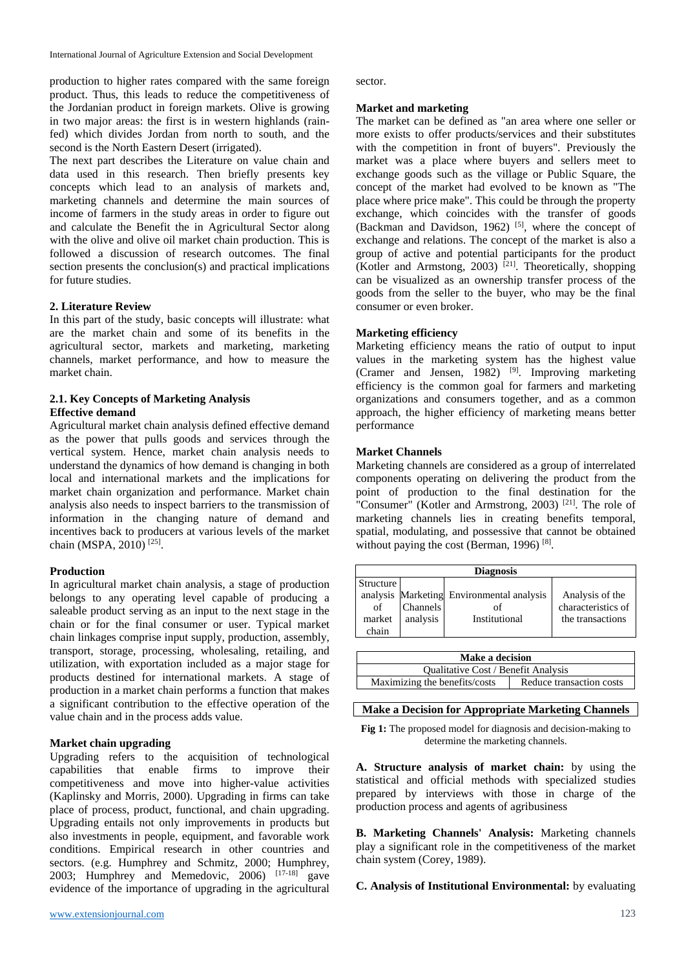production to higher rates compared with the same foreign product. Thus, this leads to reduce the competitiveness of the Jordanian product in foreign markets. Olive is growing in two major areas: the first is in western highlands (rainfed) which divides Jordan from north to south, and the second is the North Eastern Desert (irrigated).

The next part describes the Literature on value chain and data used in this research. Then briefly presents key concepts which lead to an analysis of markets and, marketing channels and determine the main sources of income of farmers in the study areas in order to figure out and calculate the Benefit the in Agricultural Sector along with the olive and olive oil market chain production. This is followed a discussion of research outcomes. The final section presents the conclusion(s) and practical implications for future studies.

#### **2. Literature Review**

In this part of the study, basic concepts will illustrate: what are the market chain and some of its benefits in the agricultural sector, markets and marketing, marketing channels, market performance, and how to measure the market chain.

## **2.1. Key Concepts of Marketing Analysis Effective demand**

Agricultural market chain analysis defined effective demand as the power that pulls goods and services through the vertical system. Hence, market chain analysis needs to understand the dynamics of how demand is changing in both local and international markets and the implications for market chain organization and performance. Market chain analysis also needs to inspect barriers to the transmission of information in the changing nature of demand and incentives back to producers at various levels of the market chain (MSPA, 2010)<sup>[25]</sup>.

#### **Production**

In agricultural market chain analysis, a stage of production belongs to any operating level capable of producing a saleable product serving as an input to the next stage in the chain or for the final consumer or user. Typical market chain linkages comprise input supply, production, assembly, transport, storage, processing, wholesaling, retailing, and utilization, with exportation included as a major stage for products destined for international markets. A stage of production in a market chain performs a function that makes a significant contribution to the effective operation of the value chain and in the process adds value.

#### **Market chain upgrading**

Upgrading refers to the acquisition of technological capabilities that enable firms to improve their competitiveness and move into higher-value activities (Kaplinsky and Morris, 2000). Upgrading in firms can take place of process, product, functional, and chain upgrading. Upgrading entails not only improvements in products but also investments in people, equipment, and favorable work conditions. Empirical research in other countries and sectors. (e.g. Humphrey and Schmitz, 2000; Humphrey, 2003; Humphrey and Memedovic, 2006)  $[17-18]$  gave evidence of the importance of upgrading in the agricultural sector.

#### **Market and marketing**

The market can be defined as "an area where one seller or more exists to offer products/services and their substitutes with the competition in front of buyers". Previously the market was a place where buyers and sellers meet to exchange goods such as the village or Public Square, the concept of the market had evolved to be known as "The place where price make". This could be through the property exchange, which coincides with the transfer of goods (Backman and Davidson, 1962)  $[5]$ , where the concept of exchange and relations. The concept of the market is also a group of active and potential participants for the product (Kotler and Armstong, 2003) [21]. Theoretically, shopping can be visualized as an ownership transfer process of the goods from the seller to the buyer, who may be the final consumer or even broker.

## **Marketing efficiency**

Marketing efficiency means the ratio of output to input values in the marketing system has the highest value (Cramer and Jensen, 1982) <sup>[9]</sup>. Improving marketing efficiency is the common goal for farmers and marketing organizations and consumers together, and as a common approach, the higher efficiency of marketing means better performance

#### **Market Channels**

Marketing channels are considered as a group of interrelated components operating on delivering the product from the point of production to the final destination for the "Consumer" (Kotler and Armstrong, 2003)<sup>[21]</sup>. The role of marketing channels lies in creating benefits temporal, spatial, modulating, and possessive that cannot be obtained without paying the cost (Berman, 1996)<sup>[8]</sup>.

| Structure             |                                           |                    |
|-----------------------|-------------------------------------------|--------------------|
|                       | analysis Marketing Environmental analysis | Analysis of the    |
| <b>Channels</b><br>of | οf                                        | characteristics of |
| analysis<br>market    | Institutional                             | the transactions   |
| chain                 |                                           |                    |

| Make a decision                     |                          |
|-------------------------------------|--------------------------|
| Qualitative Cost / Benefit Analysis |                          |
| Maximizing the benefits/costs       | Reduce transaction costs |

# **Make a Decision for Appropriate Marketing Channels**

**Fig 1:** The proposed model for diagnosis and decision-making to determine the marketing channels.

**A. Structure analysis of market chain:** by using the statistical and official methods with specialized studies prepared by interviews with those in charge of the production process and agents of agribusiness

**B. Marketing Channels' Analysis:** Marketing channels play a significant role in the competitiveness of the market chain system (Corey, 1989).

**C. Analysis of Institutional Environmental:** by evaluating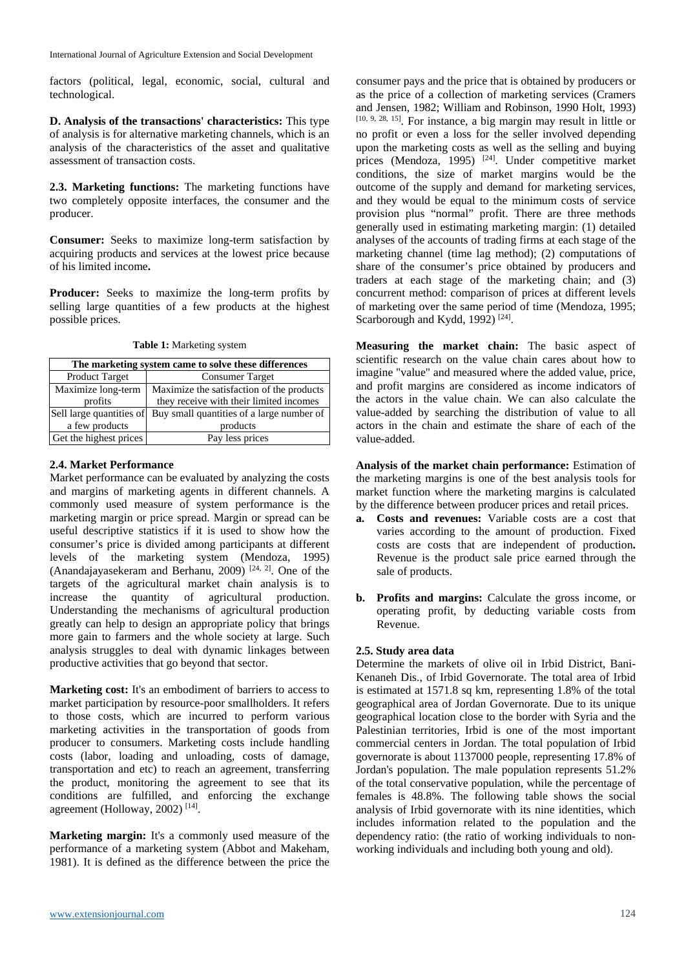factors (political, legal, economic, social, cultural and technological.

**D. Analysis of the transactions' characteristics:** This type of analysis is for alternative marketing channels, which is an analysis of the characteristics of the asset and qualitative assessment of transaction costs.

**2.3. Marketing functions:** The marketing functions have two completely opposite interfaces, the consumer and the producer.

**Consumer:** Seeks to maximize long-term satisfaction by acquiring products and services at the lowest price because of his limited income**.**

Producer: Seeks to maximize the long-term profits by selling large quantities of a few products at the highest possible prices.

|                          | The marketing system came to solve these differences |
|--------------------------|------------------------------------------------------|
| <b>Product Target</b>    | <b>Consumer Target</b>                               |
| Maximize long-term       | Maximize the satisfaction of the products            |
| profits                  | they receive with their limited incomes              |
| Sell large quantities of | Buy small quantities of a large number of            |
| a few products           | products                                             |
| Get the highest prices   | Pay less prices                                      |

**Table 1:** Marketing system

## **2.4. Market Performance**

Market performance can be evaluated by analyzing the costs and margins of marketing agents in different channels. A commonly used measure of system performance is the marketing margin or price spread. Margin or spread can be useful descriptive statistics if it is used to show how the consumer's price is divided among participants at different levels of the marketing system (Mendoza, 1995) (Anandajayasekeram and Berhanu, 2009)<sup>[24, 2]</sup>. One of the targets of the agricultural market chain analysis is to increase the quantity of agricultural production. Understanding the mechanisms of agricultural production greatly can help to design an appropriate policy that brings more gain to farmers and the whole society at large. Such analysis struggles to deal with dynamic linkages between productive activities that go beyond that sector.

**Marketing cost:** It's an embodiment of barriers to access to market participation by resource-poor smallholders. It refers to those costs, which are incurred to perform various marketing activities in the transportation of goods from producer to consumers. Marketing costs include handling costs (labor, loading and unloading, costs of damage, transportation and etc) to reach an agreement, transferring the product, monitoring the agreement to see that its conditions are fulfilled, and enforcing the exchange agreement (Holloway, 2002)<sup>[14]</sup>.

**Marketing margin:** It's a commonly used measure of the performance of a marketing system (Abbot and Makeham, 1981). It is defined as the difference between the price the consumer pays and the price that is obtained by producers or as the price of a collection of marketing services (Cramers and Jensen, 1982; William and Robinson, 1990 Holt, 1993) [10, 9, 28, 15] . For instance, a big margin may result in little or no profit or even a loss for the seller involved depending upon the marketing costs as well as the selling and buying prices (Mendoza, 1995)  $[24]$ . Under competitive market conditions, the size of market margins would be the outcome of the supply and demand for marketing services, and they would be equal to the minimum costs of service provision plus "normal" profit. There are three methods generally used in estimating marketing margin: (1) detailed analyses of the accounts of trading firms at each stage of the marketing channel (time lag method); (2) computations of share of the consumer's price obtained by producers and traders at each stage of the marketing chain; and (3) concurrent method: comparison of prices at different levels of marketing over the same period of time (Mendoza, 1995; Scarborough and Kydd, 1992)<sup>[24]</sup>.

**Measuring the market chain:** The basic aspect of scientific research on the value chain cares about how to imagine "value" and measured where the added value, price, and profit margins are considered as income indicators of the actors in the value chain. We can also calculate the value-added by searching the distribution of value to all actors in the chain and estimate the share of each of the value-added.

**Analysis of the market chain performance:** Estimation of the marketing margins is one of the best analysis tools for market function where the marketing margins is calculated by the difference between producer prices and retail prices.

- **a. Costs and revenues:** Variable costs are a cost that varies according to the amount of production. Fixed costs are costs that are independent of production**.**  Revenue is the product sale price earned through the sale of products.
- **b. Profits and margins:** Calculate the gross income, or operating profit, by deducting variable costs from Revenue.

## **2.5. Study area data**

Determine the markets of olive oil in Irbid District, Bani-Kenaneh Dis., of Irbid Governorate. The total area of Irbid is estimated at 1571.8 sq km, representing 1.8% of the total geographical area of Jordan Governorate. Due to its unique geographical location close to the border with Syria and the Palestinian territories, Irbid is one of the most important commercial centers in Jordan. The total population of Irbid governorate is about 1137000 people, representing 17.8% of Jordan's population. The male population represents 51.2% of the total conservative population, while the percentage of females is 48.8%. The following table shows the social analysis of Irbid governorate with its nine identities, which includes information related to the population and the dependency ratio: (the ratio of working individuals to nonworking individuals and including both young and old).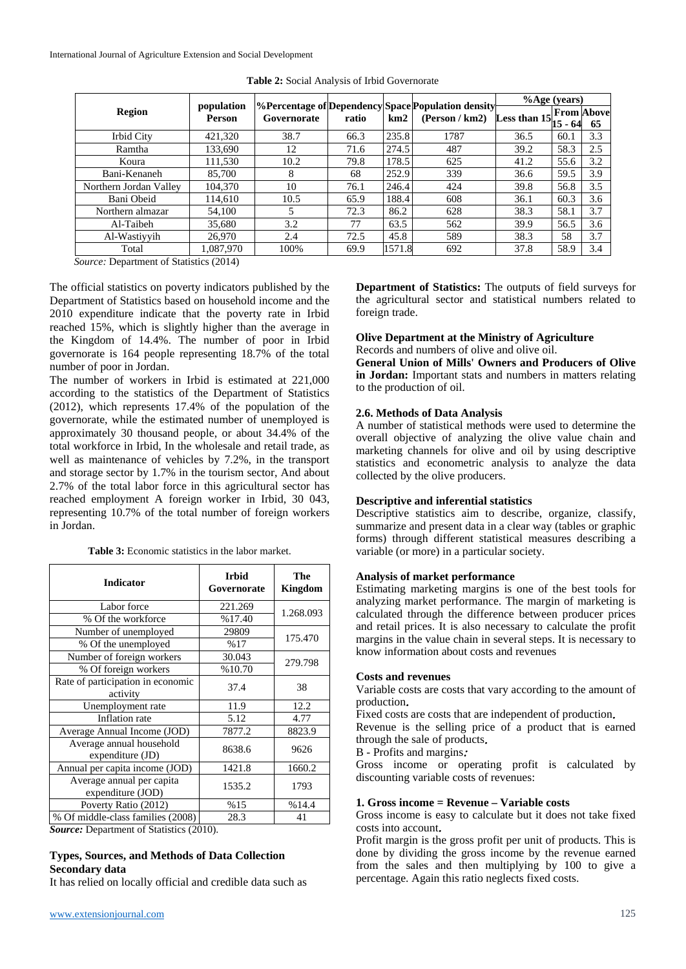|                                            |                             |             |       |        |                                                                           | $%$ Age (years) |         |                         |
|--------------------------------------------|-----------------------------|-------------|-------|--------|---------------------------------------------------------------------------|-----------------|---------|-------------------------|
| Region                                     | population<br><b>Person</b> | Governorate | ratio | km2    | <b>%Percentage of Dependency Space Population density</b><br>(Person/km2) | Less than 15    | 15 - 64 | <b>From Above</b><br>65 |
| Irbid City                                 | 421,320                     | 38.7        | 66.3  | 235.8  | 1787                                                                      | 36.5            | 60.1    | 3.3                     |
| Ramtha                                     | 133.690                     | 12          | 71.6  | 274.5  | 487                                                                       | 39.2            | 58.3    | 2.5                     |
| Koura                                      | 111.530                     | 10.2        | 79.8  | 178.5  | 625                                                                       | 41.2            | 55.6    | 3.2                     |
| Bani-Kenaneh                               | 85,700                      | 8           | 68    | 252.9  | 339                                                                       | 36.6            | 59.5    | 3.9                     |
| Northern Jordan Valley                     | 104,370                     | 10          | 76.1  | 246.4  | 424                                                                       | 39.8            | 56.8    | 3.5                     |
| Bani Obeid                                 | 114.610                     | 10.5        | 65.9  | 188.4  | 608                                                                       | 36.1            | 60.3    | 3.6                     |
| Northern almazar                           | 54,100                      | 5           | 72.3  | 86.2   | 628                                                                       | 38.3            | 58.1    | 3.7                     |
| Al-Taibeh                                  | 35,680                      | 3.2         | 77    | 63.5   | 562                                                                       | 39.9            | 56.5    | 3.6                     |
| Al-Wastivvih                               | 26,970                      | 2.4         | 72.5  | 45.8   | 589                                                                       | 38.3            | 58      | 3.7                     |
| Total                                      | 1.087.970                   | 100%        | 69.9  | 1571.8 | 692                                                                       | 37.8            | 58.9    | 3.4                     |
| $Squation$ Department of Statistics (2014) |                             |             |       |        |                                                                           |                 |         |                         |

**Table 2:** Social Analysis of Irbid Governorate

*Source:* Department of Statistics (2014)

The official statistics on poverty indicators published by the Department of Statistics based on household income and the 2010 expenditure indicate that the poverty rate in Irbid reached 15%, which is slightly higher than the average in the Kingdom of 14.4%. The number of poor in Irbid governorate is 164 people representing 18.7% of the total number of poor in Jordan.

The number of workers in Irbid is estimated at 221,000 according to the statistics of the Department of Statistics (2012), which represents 17.4% of the population of the governorate, while the estimated number of unemployed is approximately 30 thousand people, or about 34.4% of the total workforce in Irbid, In the wholesale and retail trade, as well as maintenance of vehicles by 7.2%, in the transport and storage sector by 1.7% in the tourism sector, And about 2.7% of the total labor force in this agricultural sector has reached employment A foreign worker in Irbid, 30 043, representing 10.7% of the total number of foreign workers in Jordan.

**Table 3:** Economic statistics in the labor market.

| <b>Indicator</b>                               | <b>Irbid</b><br>Governorate | The<br><b>Kingdom</b> |
|------------------------------------------------|-----------------------------|-----------------------|
| Labor force                                    | 221.269                     | 1.268.093             |
| % Of the workforce                             | %17.40                      |                       |
| Number of unemployed                           | 29809                       | 175.470               |
| % Of the unemployed                            | %17                         |                       |
| Number of foreign workers                      | 30.043                      | 279.798               |
| % Of foreign workers                           | %10.70                      |                       |
| Rate of participation in economic<br>activity  | 37.4                        | 38                    |
| Unemployment rate                              | 11.9                        | 12.2                  |
| Inflation rate                                 | 5.12                        | 4.77                  |
| Average Annual Income (JOD)                    | 7877.2                      | 8823.9                |
| Average annual household<br>expenditure (JD)   | 8638.6                      | 9626                  |
| Annual per capita income (JOD)                 | 1421.8                      | 1660.2                |
| Average annual per capita<br>expenditure (JOD) | 1535.2                      | 1793                  |
| Poverty Ratio (2012)                           | %15                         | %14.4                 |
| % Of middle-class families (2008)              | 28.3                        | 41                    |

*Source:* Department of Statistics (2010).

## **Types, Sources, and Methods of Data Collection Secondary data**

It has relied on locally official and credible data such as

**Department of Statistics:** The outputs of field surveys for the agricultural sector and statistical numbers related to foreign trade.

# **Olive Department at the Ministry of Agriculture**

Records and numbers of olive and olive oil.

**General Union of Mills' Owners and Producers of Olive in Jordan:** Important stats and numbers in matters relating to the production of oil.

## **2.6. Methods of Data Analysis**

A number of statistical methods were used to determine the overall objective of analyzing the olive value chain and marketing channels for olive and oil by using descriptive statistics and econometric analysis to analyze the data collected by the olive producers.

## **Descriptive and inferential statistics**

Descriptive statistics aim to describe, organize, classify, summarize and present data in a clear way (tables or graphic forms) through different statistical measures describing a variable (or more) in a particular society.

## **Analysis of market performance**

Estimating marketing margins is one of the best tools for analyzing market performance. The margin of marketing is calculated through the difference between producer prices and retail prices. It is also necessary to calculate the profit margins in the value chain in several steps. It is necessary to know information about costs and revenues

#### **Costs and revenues**

Variable costs are costs that vary according to the amount of production.

Fixed costs are costs that are independent of production.

Revenue is the selling price of a product that is earned through the sale of products.

B - Profits and margins:

Gross income or operating profit is calculated by discounting variable costs of revenues:

#### **1. Gross income = Revenue – Variable costs**

Gross income is easy to calculate but it does not take fixed costs into account.

Profit margin is the gross profit per unit of products. This is done by dividing the gross income by the revenue earned from the sales and then multiplying by 100 to give a percentage. Again this ratio neglects fixed costs.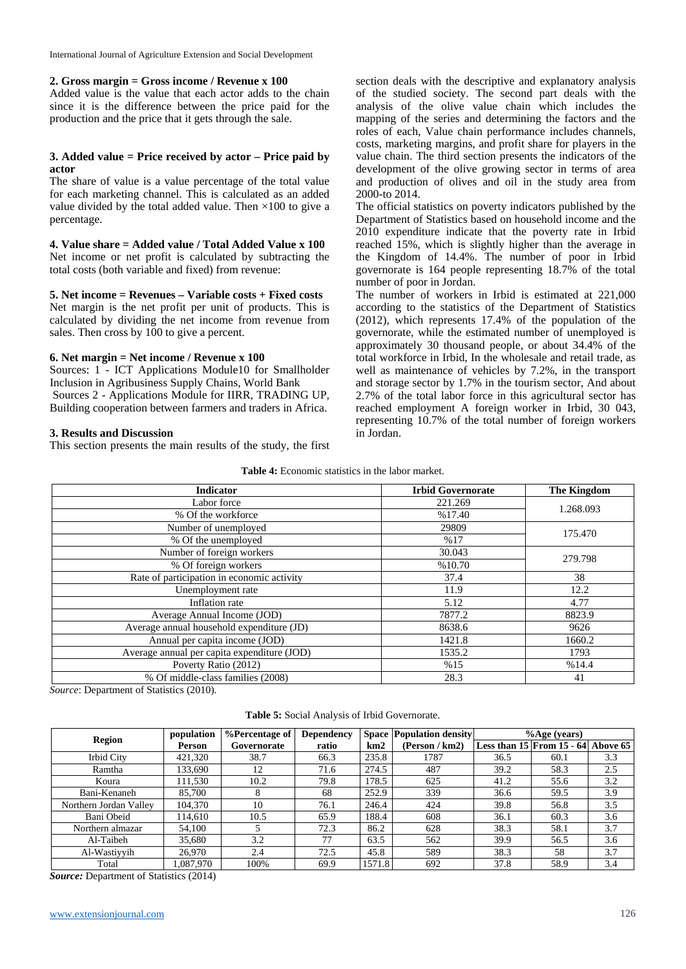#### **2. Gross margin = Gross income / Revenue x 100**

Added value is the value that each actor adds to the chain since it is the difference between the price paid for the production and the price that it gets through the sale.

#### **3. Added value = Price received by actor – Price paid by actor**

The share of value is a value percentage of the total value for each marketing channel. This is calculated as an added value divided by the total added value. Then  $\times 100$  to give a percentage.

#### **4. Value share = Added value / Total Added Value x 100**

Net income or net profit is calculated by subtracting the total costs (both variable and fixed) from revenue:

## **5. Net income = Revenues – Variable costs + Fixed costs**

Net margin is the net profit per unit of products. This is calculated by dividing the net income from revenue from sales. Then cross by 100 to give a percent.

#### **6. Net margin = Net income / Revenue x 100**

Sources: 1 - ICT Applications Module10 for Smallholder Inclusion in Agribusiness Supply Chains, World Bank Sources 2 - Applications Module for IIRR, TRADING UP, Building cooperation between farmers and traders in Africa.

#### **3. Results and Discussion**

This section presents the main results of the study, the first

section deals with the descriptive and explanatory analysis of the studied society. The second part deals with the analysis of the olive value chain which includes the mapping of the series and determining the factors and the roles of each, Value chain performance includes channels, costs, marketing margins, and profit share for players in the value chain. The third section presents the indicators of the development of the olive growing sector in terms of area and production of olives and oil in the study area from 2000-to 2014.

The official statistics on poverty indicators published by the Department of Statistics based on household income and the 2010 expenditure indicate that the poverty rate in Irbid reached 15%, which is slightly higher than the average in the Kingdom of 14.4%. The number of poor in Irbid governorate is 164 people representing 18.7% of the total number of poor in Jordan.

The number of workers in Irbid is estimated at 221,000 according to the statistics of the Department of Statistics (2012), which represents 17.4% of the population of the governorate, while the estimated number of unemployed is approximately 30 thousand people, or about 34.4% of the total workforce in Irbid, In the wholesale and retail trade, as well as maintenance of vehicles by 7.2%, in the transport and storage sector by 1.7% in the tourism sector, And about 2.7% of the total labor force in this agricultural sector has reached employment A foreign worker in Irbid, 30 043, representing 10.7% of the total number of foreign workers in Jordan.

|  | <b>Table 4:</b> Economic statistics in the labor market. |  |  |  |  |  |
|--|----------------------------------------------------------|--|--|--|--|--|
|--|----------------------------------------------------------|--|--|--|--|--|

| <b>Indicator</b>                            | <b>Irbid Governorate</b> | The Kingdom |
|---------------------------------------------|--------------------------|-------------|
| Labor force                                 | 221.269                  | 1.268.093   |
| % Of the workforce                          | %17.40                   |             |
| Number of unemployed                        | 29809                    | 175.470     |
| % Of the unemployed                         | %17                      |             |
| Number of foreign workers                   | 30.043                   |             |
| % Of foreign workers                        | %10.70                   | 279.798     |
| Rate of participation in economic activity  | 37.4                     | 38          |
| Unemployment rate                           | 11.9                     | 12.2        |
| Inflation rate                              | 5.12                     | 4.77        |
| Average Annual Income (JOD)                 | 7877.2                   | 8823.9      |
| Average annual household expenditure (JD)   | 8638.6                   | 9626        |
| Annual per capita income (JOD)              | 1421.8                   | 1660.2      |
| Average annual per capita expenditure (JOD) | 1535.2                   | 1793        |
| Poverty Ratio (2012)                        | %15                      | %14.4       |
| % Of middle-class families (2008)           | 28.3                     | 41          |

*Source*: Department of Statistics (2010).

| Table 5: Social Analysis of Irbid Governorate. |  |
|------------------------------------------------|--|
|------------------------------------------------|--|

| <b>Region</b>          | population | %Percentage of | <b>Dependency</b> |        | <b>Space Population density</b> |      | % Age (years)                      |     |
|------------------------|------------|----------------|-------------------|--------|---------------------------------|------|------------------------------------|-----|
|                        | Person     | Governorate    | ratio             | km2    | (Person / km2)                  |      | Less than 15 From 15 - 64 Above 65 |     |
| Irbid City             | 421.320    | 38.7           | 66.3              | 235.8  | 1787                            | 36.5 | 60.1                               | 3.3 |
| Ramtha                 | 133,690    | 12             | 71.6              | 274.5  | 487                             | 39.2 | 58.3                               | 2.5 |
| Koura                  | 111.530    | 10.2           | 79.8              | 178.5  | 625                             | 41.2 | 55.6                               | 3.2 |
| Bani-Kenaneh           | 85,700     | 8              | 68                | 252.9  | 339                             | 36.6 | 59.5                               | 3.9 |
| Northern Jordan Valley | 104.370    | 10             | 76.1              | 246.4  | 424                             | 39.8 | 56.8                               | 3.5 |
| Bani Obeid             | 114.610    | 10.5           | 65.9              | 188.4  | 608                             | 36.1 | 60.3                               | 3.6 |
| Northern almazar       | 54,100     |                | 72.3              | 86.2   | 628                             | 38.3 | 58.1                               | 3.7 |
| Al-Taibeh              | 35,680     | 3.2            | 77                | 63.5   | 562                             | 39.9 | 56.5                               | 3.6 |
| Al-Wastiyyih           | 26,970     | 2.4            | 72.5              | 45.8   | 589                             | 38.3 | 58                                 | 3.7 |
| Total                  | 1,087,970  | 100%           | 69.9              | 1571.8 | 692                             | 37.8 | 58.9                               | 3.4 |

*Source:* Department of Statistics (2014)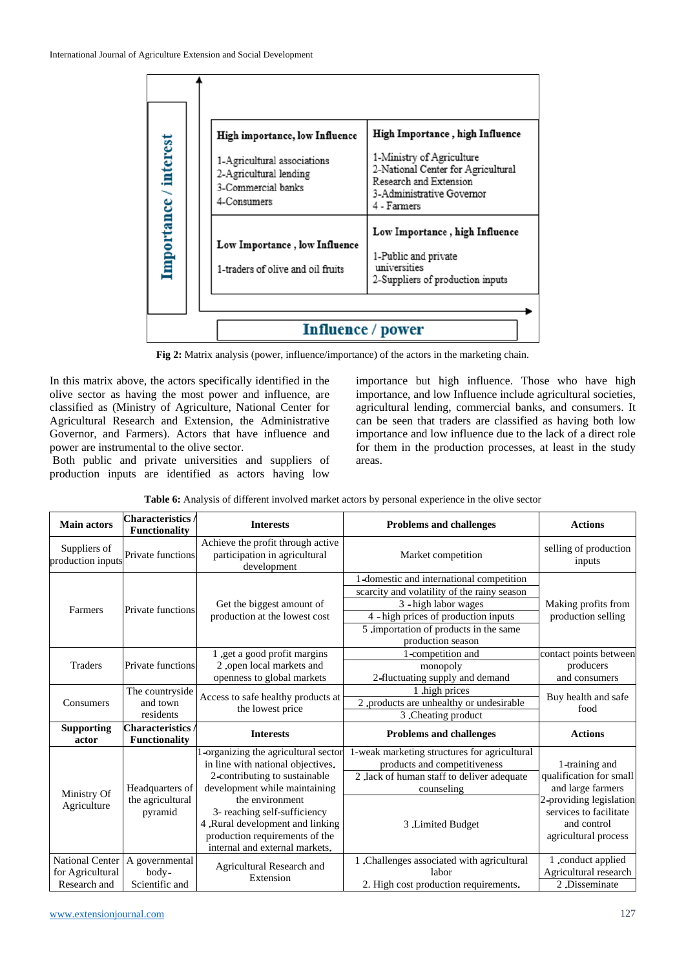

**Fig 2:** Matrix analysis (power, influence/importance) of the actors in the marketing chain.

In this matrix above, the actors specifically identified in the olive sector as having the most power and influence, are classified as (Ministry of Agriculture, National Center for Agricultural Research and Extension, the Administrative Governor, and Farmers). Actors that have influence and power are instrumental to the olive sector.

Both public and private universities and suppliers of production inputs are identified as actors having low importance but high influence. Those who have high importance, and low Influence include agricultural societies, agricultural lending, commercial banks, and consumers. It can be seen that traders are classified as having both low importance and low influence due to the lack of a direct role for them in the production processes, at least in the study areas.

| <b>Main actors</b>                                         | <b>Characteristics</b> /<br><b>Functionality</b> | <b>Interests</b>                                                                                                                                                                                                                                                                                     | <b>Problems and challenges</b>                                                                                                                                | <b>Actions</b>                                                                                                                                             |
|------------------------------------------------------------|--------------------------------------------------|------------------------------------------------------------------------------------------------------------------------------------------------------------------------------------------------------------------------------------------------------------------------------------------------------|---------------------------------------------------------------------------------------------------------------------------------------------------------------|------------------------------------------------------------------------------------------------------------------------------------------------------------|
| Suppliers of<br>production inputs                          | Private functions                                | Achieve the profit through active<br>participation in agricultural<br>development                                                                                                                                                                                                                    | Market competition                                                                                                                                            | selling of production<br>inputs                                                                                                                            |
|                                                            |                                                  |                                                                                                                                                                                                                                                                                                      | 1-domestic and international competition<br>scarcity and volatility of the rainy season                                                                       |                                                                                                                                                            |
| Farmers                                                    | <b>Private functions</b>                         | Get the biggest amount of<br>production at the lowest cost                                                                                                                                                                                                                                           | 3 - high labor wages<br>4 - high prices of production inputs<br>5 .importation of products in the same                                                        | Making profits from<br>production selling                                                                                                                  |
| <b>Traders</b>                                             | Private functions                                | 1 .get a good profit margins<br>2 .open local markets and                                                                                                                                                                                                                                            | production season<br>1-competition and<br>monopoly                                                                                                            | contact points between<br>producers                                                                                                                        |
|                                                            |                                                  | openness to global markets                                                                                                                                                                                                                                                                           | 2-fluctuating supply and demand                                                                                                                               | and consumers                                                                                                                                              |
| Consumers                                                  | The countryside<br>and town<br>residents         | Access to safe healthy products at<br>the lowest price                                                                                                                                                                                                                                               | 1.high prices<br>2 .products are unhealthy or undesirable<br>3. Cheating product                                                                              | Buy health and safe<br>food                                                                                                                                |
| <b>Supporting</b><br>actor                                 | <b>Characteristics</b> /<br><b>Functionality</b> | <b>Interests</b>                                                                                                                                                                                                                                                                                     | <b>Problems and challenges</b>                                                                                                                                | <b>Actions</b>                                                                                                                                             |
| Ministry Of<br>Agriculture                                 | Headquarters of<br>the agricultural<br>pyramid   | -organizing the agricultural sector<br>in line with national objectives.<br>2-contributing to sustainable<br>development while maintaining<br>the environment<br>3- reaching self-sufficiency<br>4.Rural development and linking<br>production requirements of the<br>internal and external markets. | 1-weak marketing structures for agricultural<br>products and competitiveness<br>2 .lack of human staff to deliver adequate<br>counseling<br>3 .Limited Budget | 1-training and<br>qualification for small<br>and large farmers<br>2-providing legislation<br>services to facilitate<br>and control<br>agricultural process |
| <b>National Center</b><br>for Agricultural<br>Research and | A governmental<br>body-<br>Scientific and        | Agricultural Research and<br>Extension                                                                                                                                                                                                                                                               | 1 .Challenges associated with agricultural<br>labor<br>2. High cost production requirements.                                                                  | 1 .conduct applied<br>Agricultural research<br>2.Disseminate                                                                                               |

**Table 6:** Analysis of different involved market actors by personal experience in the olive sector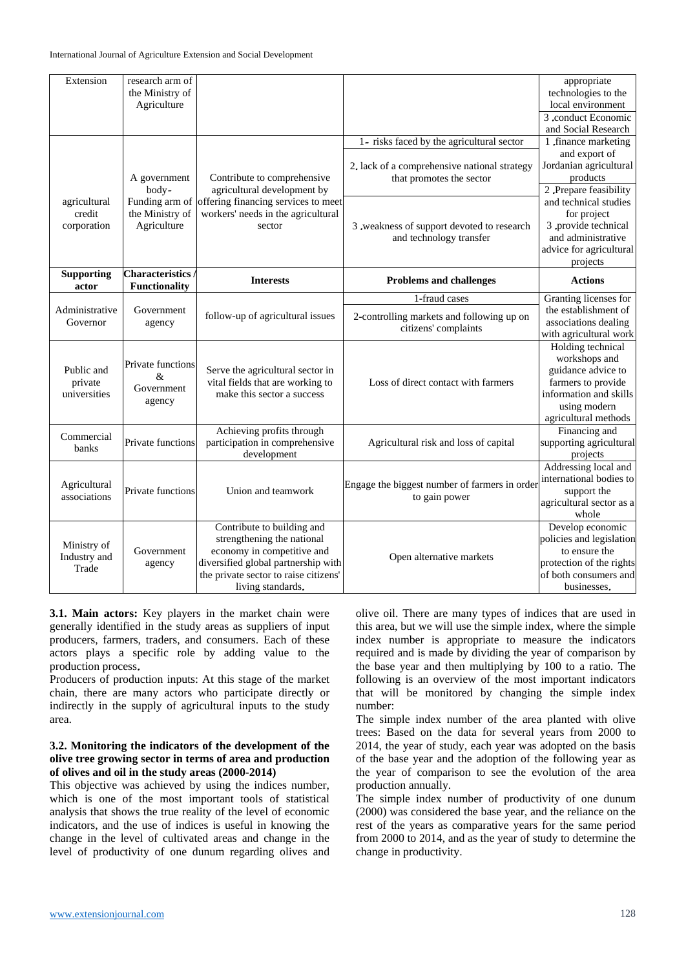| Extension                             | research arm of<br>the Ministry of<br>Agriculture |                                                                                                                                                                                             |                                                                          | appropriate<br>technologies to the<br>local environment                                                                                          |
|---------------------------------------|---------------------------------------------------|---------------------------------------------------------------------------------------------------------------------------------------------------------------------------------------------|--------------------------------------------------------------------------|--------------------------------------------------------------------------------------------------------------------------------------------------|
|                                       |                                                   |                                                                                                                                                                                             |                                                                          | 3 conduct Economic<br>and Social Research                                                                                                        |
|                                       |                                                   |                                                                                                                                                                                             | 1- risks faced by the agricultural sector                                | 1 .finance marketing<br>and export of                                                                                                            |
|                                       | A government<br>body-                             | Contribute to comprehensive<br>agricultural development by                                                                                                                                  | 2. lack of a comprehensive national strategy<br>that promotes the sector | Jordanian agricultural<br>products<br>2. Prepare feasibility                                                                                     |
| agricultural<br>credit<br>corporation | Funding arm of<br>the Ministry of<br>Agriculture  | offering financing services to meet<br>workers' needs in the agricultural<br>sector                                                                                                         | 3 .weakness of support devoted to research<br>and technology transfer    | and technical studies<br>for project<br>3 provide technical<br>and administrative<br>advice for agricultural<br>projects                         |
| <b>Supporting</b><br>actor            | <b>Characteristics</b><br><b>Functionality</b>    | <b>Interests</b>                                                                                                                                                                            | <b>Problems and challenges</b>                                           | <b>Actions</b>                                                                                                                                   |
|                                       |                                                   |                                                                                                                                                                                             | 1-fraud cases                                                            | Granting licenses for                                                                                                                            |
| Administrative<br>Governor            | Government<br>agency                              | follow-up of agricultural issues<br>2-controlling markets and following up on<br>citizens' complaints                                                                                       |                                                                          | the establishment of<br>associations dealing<br>with agricultural work                                                                           |
| Public and<br>private<br>universities | Private functions<br>&<br>Government<br>agency    | Serve the agricultural sector in<br>vital fields that are working to<br>make this sector a success                                                                                          | Loss of direct contact with farmers                                      | Holding technical<br>workshops and<br>guidance advice to<br>farmers to provide<br>information and skills<br>using modern<br>agricultural methods |
| Commercial<br>banks                   | Private functions                                 | Achieving profits through<br>participation in comprehensive<br>development                                                                                                                  | Agricultural risk and loss of capital                                    | Financing and<br>supporting agricultural<br>projects                                                                                             |
| Agricultural<br>associations          | Private functions                                 | Union and teamwork                                                                                                                                                                          | Engage the biggest number of farmers in order<br>to gain power           | Addressing local and<br>international bodies to<br>support the<br>agricultural sector as a<br>whole                                              |
| Ministry of<br>Industry and<br>Trade  | Government<br>agency                              | Contribute to building and<br>strengthening the national<br>economy in competitive and<br>diversified global partnership with<br>the private sector to raise citizens'<br>living standards. | Open alternative markets                                                 | Develop economic<br>policies and legislation<br>to ensure the<br>protection of the rights<br>of both consumers and<br>businesses.                |

**3.1. Main actors:** Key players in the market chain were generally identified in the study areas as suppliers of input producers, farmers, traders, and consumers. Each of these actors plays a specific role by adding value to the production process.

Producers of production inputs: At this stage of the market chain, there are many actors who participate directly or indirectly in the supply of agricultural inputs to the study area.

#### **3.2. Monitoring the indicators of the development of the olive tree growing sector in terms of area and production of olives and oil in the study areas (2000-2014)**

This objective was achieved by using the indices number, which is one of the most important tools of statistical analysis that shows the true reality of the level of economic indicators, and the use of indices is useful in knowing the change in the level of cultivated areas and change in the level of productivity of one dunum regarding olives and

olive oil. There are many types of indices that are used in this area, but we will use the simple index, where the simple index number is appropriate to measure the indicators required and is made by dividing the year of comparison by the base year and then multiplying by 100 to a ratio. The following is an overview of the most important indicators that will be monitored by changing the simple index number:

The simple index number of the area planted with olive trees: Based on the data for several years from 2000 to 2014, the year of study, each year was adopted on the basis of the base year and the adoption of the following year as the year of comparison to see the evolution of the area production annually.

The simple index number of productivity of one dunum (2000) was considered the base year, and the reliance on the rest of the years as comparative years for the same period from 2000 to 2014, and as the year of study to determine the change in productivity.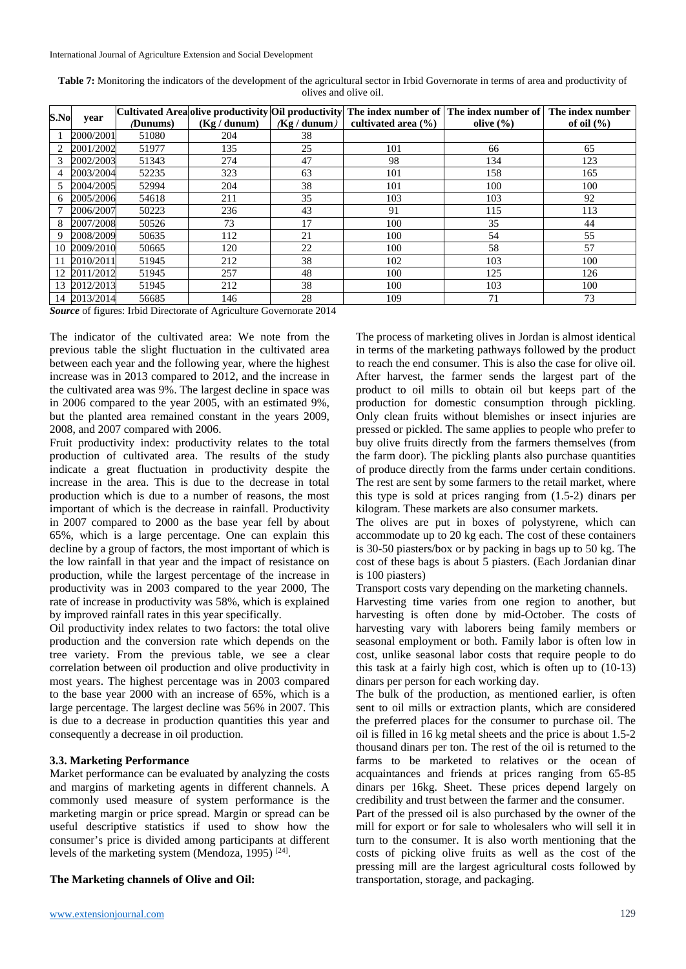| Table 7: Monitoring the indicators of the development of the agricultural sector in Irbid Governorate in terms of area and productivity of |
|--------------------------------------------------------------------------------------------------------------------------------------------|
| olives and olive oil.                                                                                                                      |

| S.No | vear         |          |                |                | Cultivated Area olive productivity Oil productivity The index number of The index number of The index number |               |                |
|------|--------------|----------|----------------|----------------|--------------------------------------------------------------------------------------------------------------|---------------|----------------|
|      |              | (Dunums) | $(Kg /$ dunum) | $(Kg /$ dunum) | cultivated area $(\% )$                                                                                      | olive $(\% )$ | of oil $(\% )$ |
|      | 2000/2001    | 51080    | 204            | 38             |                                                                                                              |               |                |
| 2    | 2001/2002    | 51977    | 135            | 25             | 101                                                                                                          | 66            | 65             |
| 3    | 2002/2003    | 51343    | 274            | 47             | 98                                                                                                           | 134           | 123            |
| 4    | 2003/2004    | 52235    | 323            | 63             | 101                                                                                                          | 158           | 165            |
| 5    | 2004/2005    | 52994    | 204            | 38             | 101                                                                                                          | 100           | 100            |
| 6    | 2005/2006    | 54618    | 211            | 35             | 103                                                                                                          | 103           | 92             |
|      | 2006/2007    | 50223    | 236            | 43             | 91                                                                                                           | 115           | 113            |
| 8    | 2007/2008    | 50526    | 73             | 17             | 100                                                                                                          | 35            | 44             |
| 9    | 2008/2009    | 50635    | 112            | 21             | 100                                                                                                          | 54            | 55             |
| 10   | 2009/2010    | 50665    | 120            | 22             | 100                                                                                                          | 58            | 57             |
| 11   | 2010/2011    | 51945    | 212            | 38             | 102                                                                                                          | 103           | 100            |
| 12   | 2011/2012    | 51945    | 257            | 48             | 100                                                                                                          | 125           | 126            |
|      | 13 2012/2013 | 51945    | 212            | 38             | 100                                                                                                          | 103           | 100            |
|      | 14 2013/2014 | 56685    | 146            | 28             | 109                                                                                                          | 71            | 73             |

*Source* of figures: Irbid Directorate of Agriculture Governorate 2014

The indicator of the cultivated area: We note from the previous table the slight fluctuation in the cultivated area between each year and the following year, where the highest increase was in 2013 compared to 2012, and the increase in the cultivated area was 9%. The largest decline in space was in 2006 compared to the year 2005, with an estimated 9%, but the planted area remained constant in the years 2009, 2008, and 2007 compared with 2006.

Fruit productivity index: productivity relates to the total production of cultivated area. The results of the study indicate a great fluctuation in productivity despite the increase in the area. This is due to the decrease in total production which is due to a number of reasons, the most important of which is the decrease in rainfall. Productivity in 2007 compared to 2000 as the base year fell by about 65%, which is a large percentage. One can explain this decline by a group of factors, the most important of which is the low rainfall in that year and the impact of resistance on production, while the largest percentage of the increase in productivity was in 2003 compared to the year 2000, The rate of increase in productivity was 58%, which is explained by improved rainfall rates in this year specifically.

Oil productivity index relates to two factors: the total olive production and the conversion rate which depends on the tree variety. From the previous table, we see a clear correlation between oil production and olive productivity in most years. The highest percentage was in 2003 compared to the base year 2000 with an increase of 65%, which is a large percentage. The largest decline was 56% in 2007. This is due to a decrease in production quantities this year and consequently a decrease in oil production.

## **3.3. Marketing Performance**

Market performance can be evaluated by analyzing the costs and margins of marketing agents in different channels. A commonly used measure of system performance is the marketing margin or price spread. Margin or spread can be useful descriptive statistics if used to show how the consumer's price is divided among participants at different levels of the marketing system (Mendoza, 1995)<sup>[24]</sup>.

#### **The Marketing channels of Olive and Oil:**

The process of marketing olives in Jordan is almost identical in terms of the marketing pathways followed by the product to reach the end consumer. This is also the case for olive oil. After harvest, the farmer sends the largest part of the product to oil mills to obtain oil but keeps part of the production for domestic consumption through pickling. Only clean fruits without blemishes or insect injuries are pressed or pickled. The same applies to people who prefer to buy olive fruits directly from the farmers themselves (from the farm door). The pickling plants also purchase quantities of produce directly from the farms under certain conditions. The rest are sent by some farmers to the retail market, where this type is sold at prices ranging from (1.5-2) dinars per kilogram. These markets are also consumer markets.

The olives are put in boxes of polystyrene, which can accommodate up to 20 kg each. The cost of these containers is 30-50 piasters/box or by packing in bags up to 50 kg. The cost of these bags is about 5 piasters. (Each Jordanian dinar is 100 piasters)

Transport costs vary depending on the marketing channels.

Harvesting time varies from one region to another, but harvesting is often done by mid-October. The costs of harvesting vary with laborers being family members or seasonal employment or both. Family labor is often low in cost, unlike seasonal labor costs that require people to do this task at a fairly high cost, which is often up to (10-13) dinars per person for each working day.

The bulk of the production, as mentioned earlier, is often sent to oil mills or extraction plants, which are considered the preferred places for the consumer to purchase oil. The oil is filled in 16 kg metal sheets and the price is about 1.5-2 thousand dinars per ton. The rest of the oil is returned to the farms to be marketed to relatives or the ocean of acquaintances and friends at prices ranging from 65-85 dinars per 16kg. Sheet. These prices depend largely on credibility and trust between the farmer and the consumer.

Part of the pressed oil is also purchased by the owner of the mill for export or for sale to wholesalers who will sell it in turn to the consumer. It is also worth mentioning that the costs of picking olive fruits as well as the cost of the pressing mill are the largest agricultural costs followed by transportation, storage, and packaging.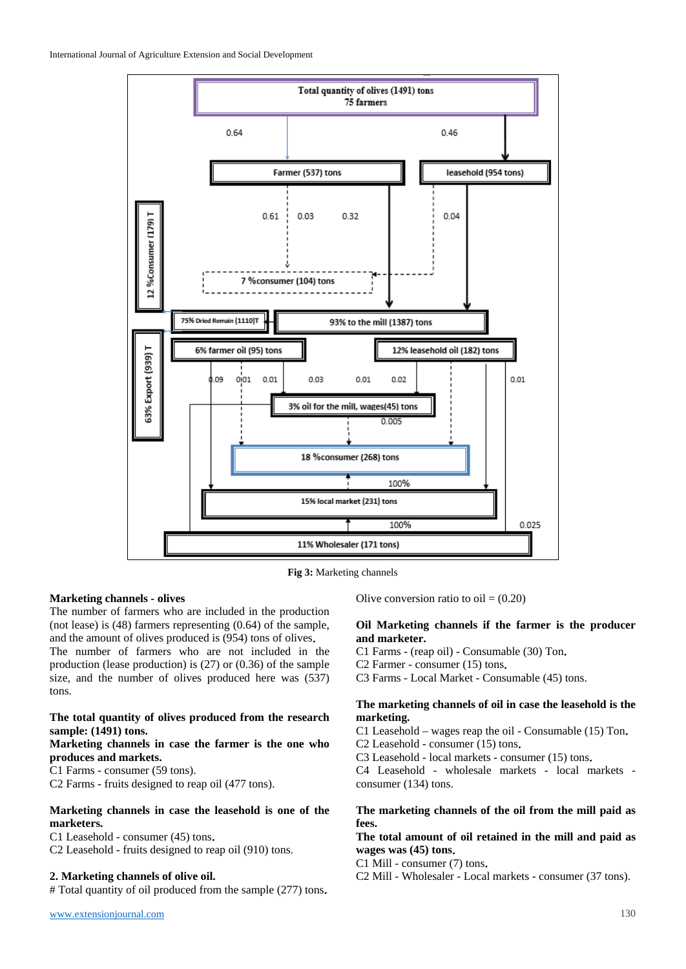

**Fig 3:** Marketing channels

## **Marketing channels - olives**

The number of farmers who are included in the production (not lease) is (48) farmers representing (0.64) of the sample, and the amount of olives produced is (954) tons of olives. The number of farmers who are not included in the production (lease production) is (27) or (0.36) of the sample size, and the number of olives produced here was (537) tons.

## **The total quantity of olives produced from the research sample: (1491) tons.**

## **Marketing channels in case the farmer is the one who produces and markets.**

C1 Farms - consumer (59 tons).

C2 Farms - fruits designed to reap oil (477 tons).

## **Marketing channels in case the leasehold is one of the marketers.**

C1 Leasehold - consumer (45) tons.

C2 Leasehold - fruits designed to reap oil (910) tons.

## **2. Marketing channels of olive oil.**

# Total quantity of oil produced from the sample (277) tons.

Olive conversion ratio to  $oil = (0.20)$ 

## **Oil Marketing channels if the farmer is the producer and marketer.**

C1 Farms - (reap oil) - Consumable (30) Ton.

C2 Farmer - consumer (15) tons.

C3 Farms - Local Market - Consumable (45) tons.

### **The marketing channels of oil in case the leasehold is the marketing.**

C1 Leasehold – wages reap the oil - Consumable (15) Ton.

C2 Leasehold - consumer (15) tons.

C3 Leasehold - local markets - consumer (15) tons.

C4 Leasehold - wholesale markets - local markets consumer (134) tons.

## **The marketing channels of the oil from the mill paid as fees.**

## **The total amount of oil retained in the mill and paid as wages was (45) tons**.

C1 Mill - consumer (7) tons.

C2 Mill - Wholesaler - Local markets - consumer (37 tons).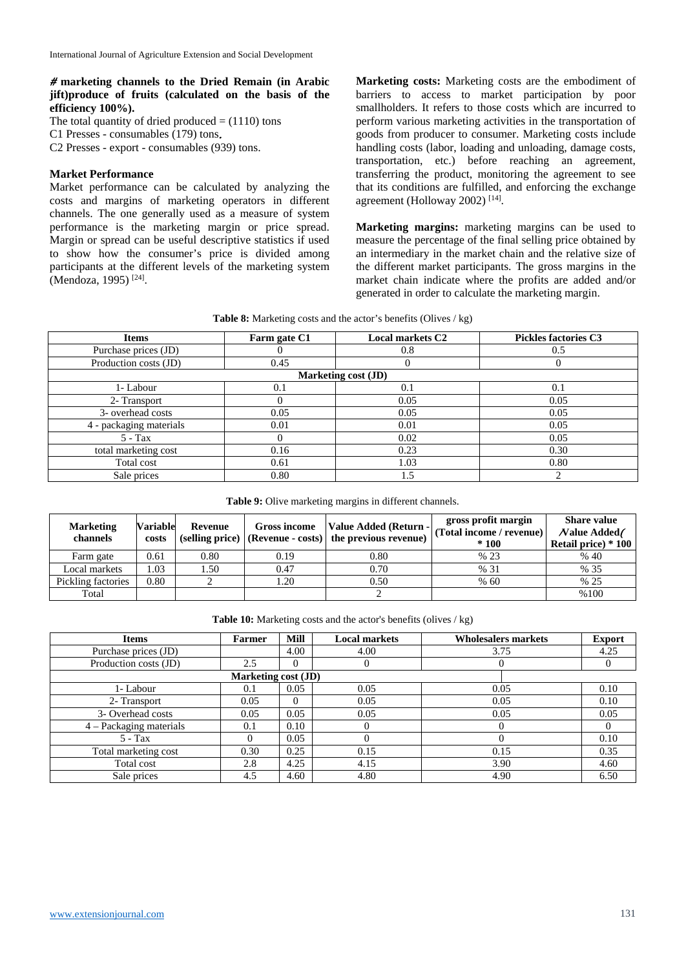## # **marketing channels to the Dried Remain (in Arabic jift)produce of fruits (calculated on the basis of the efficiency 100%).**

The total quantity of dried produced  $= (1110)$  tons C1 Presses - consumables (179) tons. C2 Presses - export - consumables (939) tons.

## **Market Performance**

Market performance can be calculated by analyzing the costs and margins of marketing operators in different channels. The one generally used as a measure of system performance is the marketing margin or price spread. Margin or spread can be useful descriptive statistics if used to show how the consumer's price is divided among participants at the different levels of the marketing system (Mendoza, 1995) [24] .

**Marketing costs:** Marketing costs are the embodiment of barriers to access to market participation by poor smallholders. It refers to those costs which are incurred to perform various marketing activities in the transportation of goods from producer to consumer. Marketing costs include handling costs (labor, loading and unloading, damage costs, transportation, etc.) before reaching an agreement, transferring the product, monitoring the agreement to see that its conditions are fulfilled, and enforcing the exchange agreement (Holloway 2002)<sup>[14]</sup>.

**Marketing margins:** marketing margins can be used to measure the percentage of the final selling price obtained by an intermediary in the market chain and the relative size of the different market participants. The gross margins in the market chain indicate where the profits are added and/or generated in order to calculate the marketing margin.

| <b>Items</b>            | Farm gate C1 | <b>Local markets C2</b> | <b>Pickles factories C3</b> |
|-------------------------|--------------|-------------------------|-----------------------------|
| Purchase prices (JD)    |              | 0.8                     | 0.5                         |
| Production costs (JD)   | 0.45         |                         |                             |
|                         |              | Marketing cost (JD)     |                             |
| 1- Labour               | 0.1          | 0.1                     | 0.1                         |
| 2- Transport            |              | 0.05                    | 0.05                        |
| 3- overhead costs       | 0.05         | 0.05                    | 0.05                        |
| 4 - packaging materials | 0.01         | 0.01                    | 0.05                        |
| $5 - Tax$               |              | 0.02                    | 0.05                        |
| total marketing cost    | 0.16         | 0.23                    | 0.30                        |
| Total cost              | 0.61         | 1.03                    | 0.80                        |
| Sale prices             | 0.80         | 1.5                     | ◠                           |

**Table 9:** Olive marketing margins in different channels.

| <b>Marketing</b><br>channels | <b>Variable</b><br>costs | Revenue | Gross income | Value Added (Return -<br>(selling price) (Revenue - costs) the previous revenue) | gross profit margin<br>(Total income / revenue)<br>$*100$ | <b>Share value</b><br>Nalue Added/<br>Retail price) * 100 |
|------------------------------|--------------------------|---------|--------------|----------------------------------------------------------------------------------|-----------------------------------------------------------|-----------------------------------------------------------|
| Farm gate                    | 0.61                     | 0.80    | 0.19         | 0.80                                                                             | % 23                                                      | % 40                                                      |
| Local markets                | .03                      | . . 50  | 0.47         | 0.70                                                                             | % 31                                                      | % 35                                                      |
| Pickling factories           | 0.80                     |         | .20          | 0.50                                                                             | % 60                                                      | % 25                                                      |
| Total                        |                          |         |              |                                                                                  |                                                           | %100                                                      |

| Table 10: Marketing costs and the actor's benefits (olives / kg) |  |
|------------------------------------------------------------------|--|
|------------------------------------------------------------------|--|

| <b>Items</b>              | <b>Farmer</b>       | <b>Mill</b> | <b>Local markets</b> | <b>Wholesalers markets</b> | <b>Export</b> |
|---------------------------|---------------------|-------------|----------------------|----------------------------|---------------|
| Purchase prices (JD)      |                     | 4.00        | 4.00                 | 3.75                       | 4.25          |
| Production costs (JD)     | 2.5                 | $\Omega$    | $\theta$             |                            |               |
|                           | Marketing cost (JD) |             |                      |                            |               |
| 1- Labour                 | 0.1                 | 0.05        | 0.05                 | 0.05                       | 0.10          |
| 2- Transport              | 0.05                | $\Omega$    | 0.05                 | 0.05                       | 0.10          |
| 3- Overhead costs         | 0.05                | 0.05        | 0.05                 | 0.05                       | 0.05          |
| $4 -$ Packaging materials | 0.1                 | 0.10        | $\Omega$             |                            |               |
| $5 - Tax$                 |                     | 0.05        | $\Omega$             |                            | 0.10          |
| Total marketing cost      | 0.30                | 0.25        | 0.15                 | 0.15                       | 0.35          |
| Total cost                | 2.8                 | 4.25        | 4.15                 | 3.90                       | 4.60          |
| Sale prices               | 4.5                 | 4.60        | 4.80                 | 4.90                       | 6.50          |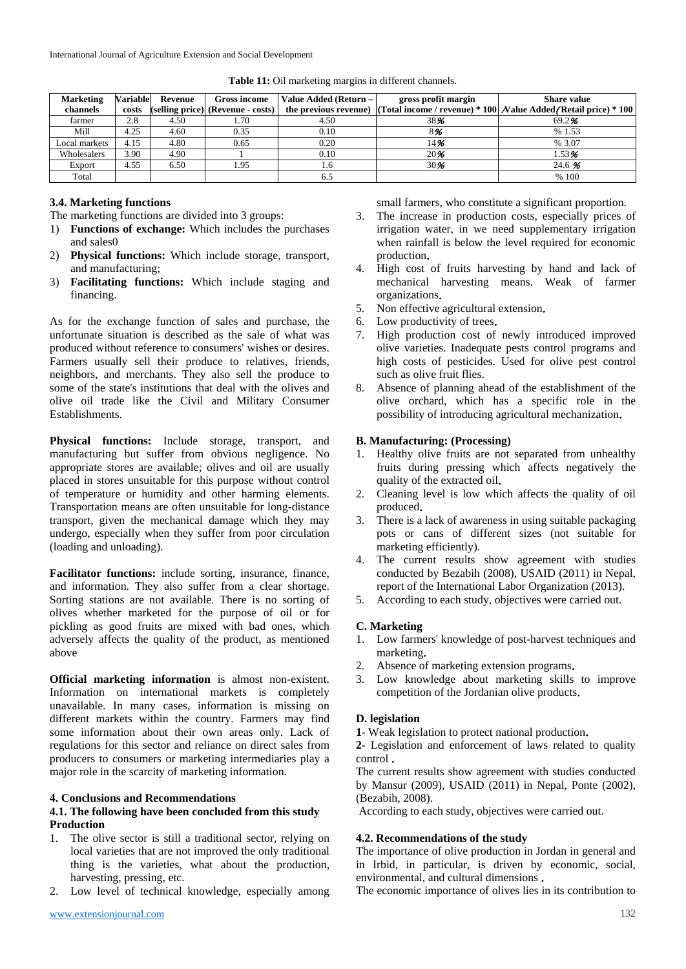| <b>Marketing</b> | <b>Variable</b> | Revenue | <b>Gross income</b>               | Value Added (Return - | gross profit margin | <b>Share value</b>                                                                             |
|------------------|-----------------|---------|-----------------------------------|-----------------------|---------------------|------------------------------------------------------------------------------------------------|
| channels         | costs           |         | (selling price) (Revenue - costs) |                       |                     | the previous revenue) (Total income / revenue) * 100 $\bar{N}$ alue Added (Retail price) * 100 |
| farmer           | 2.8             | 4.50    | 1.70                              | 4.50                  | 38%                 | 69.2%                                                                                          |
| Mill             | 4.25            | 4.60    | 0.35                              | 0.10                  | 8%                  | %1.53                                                                                          |
| Local markets    | 4.15            | 4.80    | 0.65                              | 0.20                  | 14%                 | % 3.07                                                                                         |
| Wholesalers      | 3.90            | 4.90    |                                   | 0.10                  | 20%                 | 1.53%                                                                                          |
| Export           | 4.55            | 6.50    | 1.95                              | 1.6                   | 30%                 | 24.6 %                                                                                         |
| Total            |                 |         |                                   | 6.5                   |                     | % 100                                                                                          |

Table 11: Oil marketing margins in different channels.

## **3.4. Marketing functions**

- The marketing functions are divided into 3 groups:
- 1) **Functions of exchange:** Which includes the purchases and sales0
- 2) **Physical functions:** Which include storage, transport, and manufacturing;
- 3) **Facilitating functions:** Which include staging and financing.

As for the exchange function of sales and purchase, the unfortunate situation is described as the sale of what was produced without reference to consumers' wishes or desires. Farmers usually sell their produce to relatives, friends, neighbors, and merchants. They also sell the produce to some of the state's institutions that deal with the olives and olive oil trade like the Civil and Military Consumer Establishments.

**Physical functions:** Include storage, transport, and manufacturing but suffer from obvious negligence. No appropriate stores are available; olives and oil are usually placed in stores unsuitable for this purpose without control of temperature or humidity and other harming elements. Transportation means are often unsuitable for long-distance transport, given the mechanical damage which they may undergo, especially when they suffer from poor circulation (loading and unloading).

**Facilitator functions:** include sorting, insurance, finance, and information. They also suffer from a clear shortage. Sorting stations are not available. There is no sorting of olives whether marketed for the purpose of oil or for pickling as good fruits are mixed with bad ones, which adversely affects the quality of the product, as mentioned above

**Official marketing information** is almost non-existent. Information on international markets is completely unavailable. In many cases, information is missing on different markets within the country. Farmers may find some information about their own areas only. Lack of regulations for this sector and reliance on direct sales from producers to consumers or marketing intermediaries play a major role in the scarcity of marketing information.

## **4. Conclusions and Recommendations**

## **4.1. The following have been concluded from this study Production**

- 1. The olive sector is still a traditional sector, relying on local varieties that are not improved the only traditional thing is the varieties, what about the production, harvesting, pressing, etc.
- Low level of technical knowledge, especially among

small farmers, who constitute a significant proportion.

- 3. The increase in production costs, especially prices of irrigation water, in we need supplementary irrigation when rainfall is below the level required for economic production.
- 4. High cost of fruits harvesting by hand and lack of mechanical harvesting means. Weak of farmer organizations.
- 5. Non effective agricultural extension.
- 6. Low productivity of trees.
- 7. High production cost of newly introduced improved olive varieties. Inadequate pests control programs and high costs of pesticides. Used for olive pest control such as olive fruit flies.
- 8. Absence of planning ahead of the establishment of the olive orchard, which has a specific role in the possibility of introducing agricultural mechanization.

### **B. Manufacturing: (Processing)**

- 1. Healthy olive fruits are not separated from unhealthy fruits during pressing which affects negatively the quality of the extracted oil.
- 2. Cleaning level is low which affects the quality of oil produced.
- 3. There is a lack of awareness in using suitable packaging pots or cans of different sizes (not suitable for marketing efficiently).
- 4. The current results show agreement with studies conducted by Bezabih (2008), USAID (2011) in Nepal, report of the International Labor Organization (2013).
- 5. According to each study, objectives were carried out.

#### **C. Marketing**

- 1. Low farmers' knowledge of post-harvest techniques and marketing.
- 2. Absence of marketing extension programs.
- 3. Low knowledge about marketing skills to improve competition of the Jordanian olive products.

#### **D. legislation**

**1**- Weak legislation to protect national production.

**2**- Legislation and enforcement of laws related to quality control .

The current results show agreement with studies conducted by Mansur (2009), USAID (2011) in Nepal, Ponte (2002), (Bezabih, 2008).

According to each study, objectives were carried out.

## **4.2. Recommendations of the study**

The importance of olive production in Jordan in general and in Irbid, in particular, is driven by economic, social, environmental, and cultural dimensions .

The economic importance of olives lies in its contribution to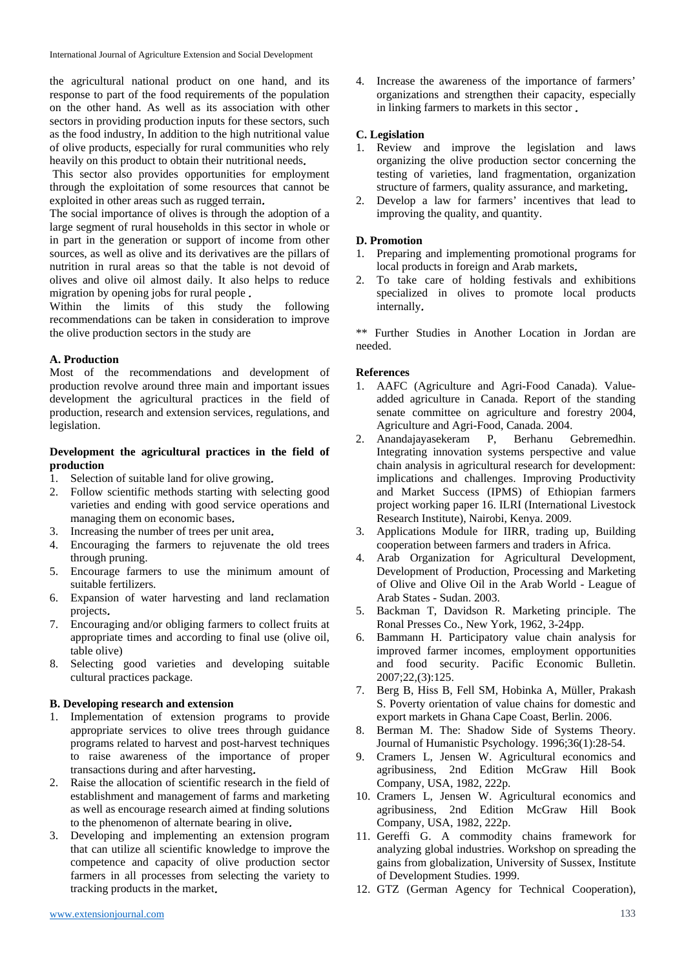the agricultural national product on one hand, and its response to part of the food requirements of the population on the other hand. As well as its association with other sectors in providing production inputs for these sectors, such as the food industry, In addition to the high nutritional value of olive products, especially for rural communities who rely heavily on this product to obtain their nutritional needs.

 This sector also provides opportunities for employment through the exploitation of some resources that cannot be exploited in other areas such as rugged terrain.

The social importance of olives is through the adoption of a large segment of rural households in this sector in whole or in part in the generation or support of income from other sources, as well as olive and its derivatives are the pillars of nutrition in rural areas so that the table is not devoid of olives and olive oil almost daily. It also helps to reduce migration by opening jobs for rural people .

Within the limits of this study the following recommendations can be taken in consideration to improve the olive production sectors in the study are

# **A. Production**

Most of the recommendations and development of production revolve around three main and important issues development the agricultural practices in the field of production, research and extension services, regulations, and legislation.

## **Development the agricultural practices in the field of production**

- 1. Selection of suitable land for olive growing.
- 2. Follow scientific methods starting with selecting good varieties and ending with good service operations and managing them on economic bases.
- 3. Increasing the number of trees per unit area.
- 4. Encouraging the farmers to rejuvenate the old trees through pruning.
- 5. Encourage farmers to use the minimum amount of suitable fertilizers.
- 6. Expansion of water harvesting and land reclamation projects.
- 7. Encouraging and/or obliging farmers to collect fruits at appropriate times and according to final use (olive oil, table olive)
- 8. Selecting good varieties and developing suitable cultural practices package.

# **B. Developing research and extension**

- 1. Implementation of extension programs to provide appropriate services to olive trees through guidance programs related to harvest and post-harvest techniques to raise awareness of the importance of proper transactions during and after harvesting.
- 2. Raise the allocation of scientific research in the field of establishment and management of farms and marketing as well as encourage research aimed at finding solutions to the phenomenon of alternate bearing in olive.
- 3. Developing and implementing an extension program that can utilize all scientific knowledge to improve the competence and capacity of olive production sector farmers in all processes from selecting the variety to tracking products in the market.

4. Increase the awareness of the importance of farmers' organizations and strengthen their capacity, especially in linking farmers to markets in this sector .

# **C. Legislation**

- 1. Review and improve the legislation and laws organizing the olive production sector concerning the testing of varieties, land fragmentation, organization structure of farmers, quality assurance, and marketing.
- 2. Develop a law for farmers' incentives that lead to improving the quality, and quantity.

# **D. Promotion**

- 1. Preparing and implementing promotional programs for local products in foreign and Arab markets.
- 2. To take care of holding festivals and exhibitions specialized in olives to promote local products internally.

\*\* Further Studies in Another Location in Jordan are needed.

## **References**

- 1. AAFC (Agriculture and Agri-Food Canada). Valueadded agriculture in Canada. Report of the standing senate committee on agriculture and forestry 2004, Agriculture and Agri-Food, Canada. 2004.
- 2. Anandajayasekeram P, Berhanu Gebremedhin. Integrating innovation systems perspective and value chain analysis in agricultural research for development: implications and challenges. Improving Productivity and Market Success (IPMS) of Ethiopian farmers project working paper 16. ILRI (International Livestock Research Institute), Nairobi, Kenya. 2009.
- 3. Applications Module for IIRR, trading up, Building cooperation between farmers and traders in Africa.
- 4. Arab Organization for Agricultural Development, Development of Production, Processing and Marketing of Olive and Olive Oil in the Arab World - League of Arab States - Sudan. 2003.
- 5. Backman T, Davidson R. Marketing principle. The Ronal Presses Co., New York, 1962, 3-24pp.
- 6. Bammann H. Participatory value chain analysis for improved farmer incomes, employment opportunities and food security. Pacific Economic Bulletin. 2007;22,(3):125.
- 7. Berg B, Hiss B, Fell SM, Hobinka A, Müller, Prakash S. Poverty orientation of value chains for domestic and export markets in Ghana Cape Coast, Berlin. 2006.
- 8. Berman M. The: Shadow Side of Systems Theory. Journal of Humanistic Psychology. 1996;36(1):28-54.
- 9. Cramers L, Jensen W. Agricultural economics and agribusiness, 2nd Edition McGraw Hill Book Company, USA, 1982, 222p.
- 10. Cramers L, Jensen W. Agricultural economics and agribusiness, 2nd Edition McGraw Hill Book Company, USA, 1982, 222p.
- 11. Gereffi G. A commodity chains framework for analyzing global industries. Workshop on spreading the gains from globalization, University of Sussex, Institute of Development Studies. 1999.
- 12. GTZ (German Agency for Technical Cooperation),